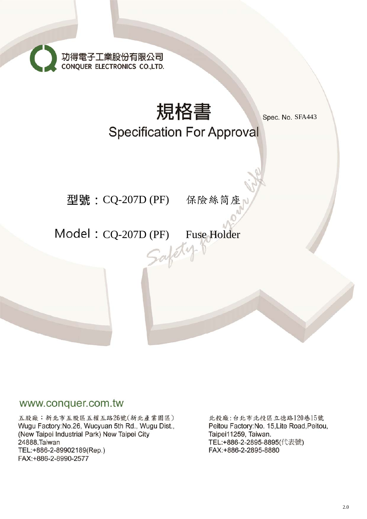功得電子工業股份有限公司<br>CONQUER ELECTRONICS CO.,LTD.



## www.conquer.com.tw

五股廠:新北市五股區五權五路26號(新北產業園區) Wugu Factory: No.26, Wucyuan 5th Rd., Wugu Dist., (New Taipei Industrial Park) New Taipei City 24888, Taiwan TEL:+886-2-89902189(Rep.) FAX:+886-2-8990-2577

北投廠:台北市北投區立德路120巷15號 Peitou Factory: No. 15, Lite Road, Peitou, Taipei11259, Taiwan. TEL:+886-2-2895-8895(代表號) FAX:+886-2-2895-8880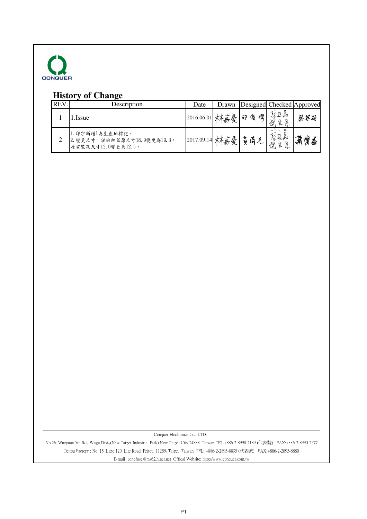

## **History of Change**

| REV. | Description                                                           | Date       | Drawn   | Designed Checked Approved |                                                                                                    |     |
|------|-----------------------------------------------------------------------|------------|---------|---------------------------|----------------------------------------------------------------------------------------------------|-----|
|      | .Issue                                                                | 2016.06.01 | 豪       | 傑<br>25                   | うんじゅう しょうかん しゅうかん しゅうかい しゅうしょう しゅうしょう おうしゅう かいしょう かいしゅう しゅうしょう かいしゅう かいしゅう しゅうかい しゅうしょう<br>逐<br>Fr | 蔡基湖 |
|      | 1. 印字新增【為生產地標記。<br>2. 變更尺寸, 保險絲蓋原尺寸18.9變更為19.3,<br>原安裝孔尺寸12 0變更為12.5。 | 2017.09.14 | 专豪<br>吾 |                           | $2 - 3 = 3$<br>祭進<br>系漢<br>逾                                                                       | っ順金 |

Conquer Electronics Co., LTD.

No.26, Wucyuan 5th Rd., Wugu Dist.,(New Taipei Industrial Park) New Taipei City 24888, Taiwan TEL:+886-2-8990-2189 (代表號) FAX:+886-2-8990-2577 Peitou Factory : No. 15, Lane 120, Lite Road, Peitou, 11259, Taipei, Taiwan. TEL: +886-2-2895-8895 (代表號) FAX:+886-2-2895-8880 E-mail: conqfuse@ms62.hinet.net Offical Website: http://www.conquer.com.tw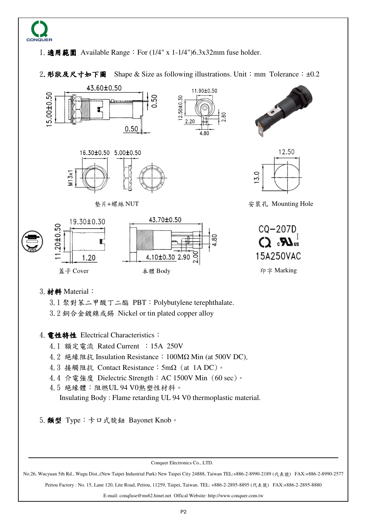

1.適用範圍 Available Range:For (1/4" x 1-1/4")6.3x32mm fuse holder.

2. 形狀及尺寸如下圖 Shape & Size as following illustrations. Unit: mm Tolerance:  $\pm 0.2$ 



5. 類型 Type: 卡口式旋鈕 Bayonet Knob。

Conquer Electronics Co., LTD.

No.26, Wucyuan 5th Rd., Wugu Dist.,(New Taipei Industrial Park) New Taipei City 24888, Taiwan TEL:+886-2-8990-2189 (代表號) FAX:+886-2-8990-2577

Peitou Factory : No. 15, Lane 120, Lite Road, Peitou, 11259, Taipei, Taiwan. TEL: +886-2-2895-8895 (代表號) FAX:+886-2-2895-8880

E-mail: conqfuse@ms62.hinet.net Offical Website: http://www.conquer.com.tw